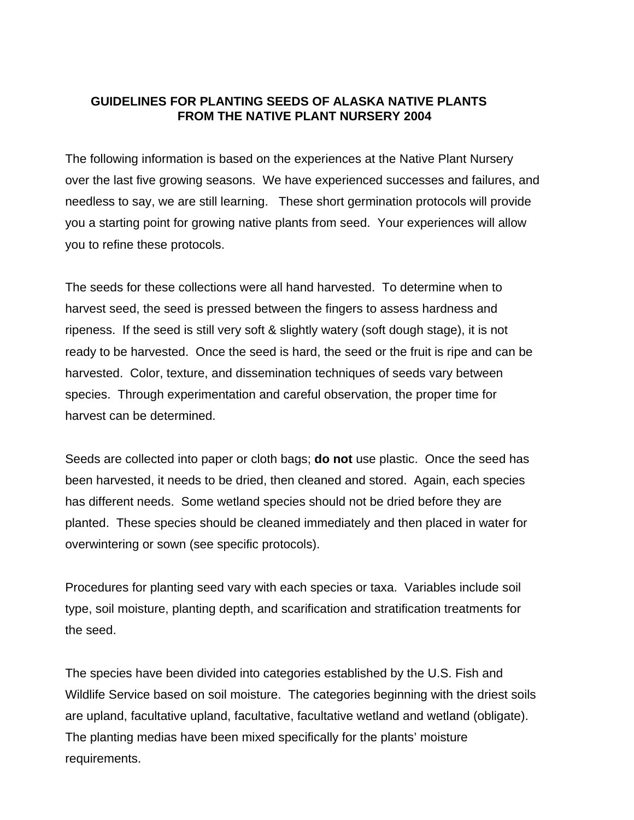### **GUIDELINES FOR PLANTING SEEDS OF ALASKA NATIVE PLANTS FROM THE NATIVE PLANT NURSERY 2004**

The following information is based on the experiences at the Native Plant Nursery over the last five growing seasons. We have experienced successes and failures, and needless to say, we are still learning. These short germination protocols will provide you a starting point for growing native plants from seed. Your experiences will allow you to refine these protocols.

The seeds for these collections were all hand harvested. To determine when to harvest seed, the seed is pressed between the fingers to assess hardness and ripeness. If the seed is still very soft & slightly watery (soft dough stage), it is not ready to be harvested. Once the seed is hard, the seed or the fruit is ripe and can be harvested. Color, texture, and dissemination techniques of seeds vary between species. Through experimentation and careful observation, the proper time for harvest can be determined.

Seeds are collected into paper or cloth bags; **do not** use plastic. Once the seed has been harvested, it needs to be dried, then cleaned and stored. Again, each species has different needs. Some wetland species should not be dried before they are planted. These species should be cleaned immediately and then placed in water for overwintering or sown (see specific protocols).

Procedures for planting seed vary with each species or taxa. Variables include soil type, soil moisture, planting depth, and scarification and stratification treatments for the seed.

The species have been divided into categories established by the U.S. Fish and Wildlife Service based on soil moisture. The categories beginning with the driest soils are upland, facultative upland, facultative, facultative wetland and wetland (obligate). The planting medias have been mixed specifically for the plants' moisture requirements.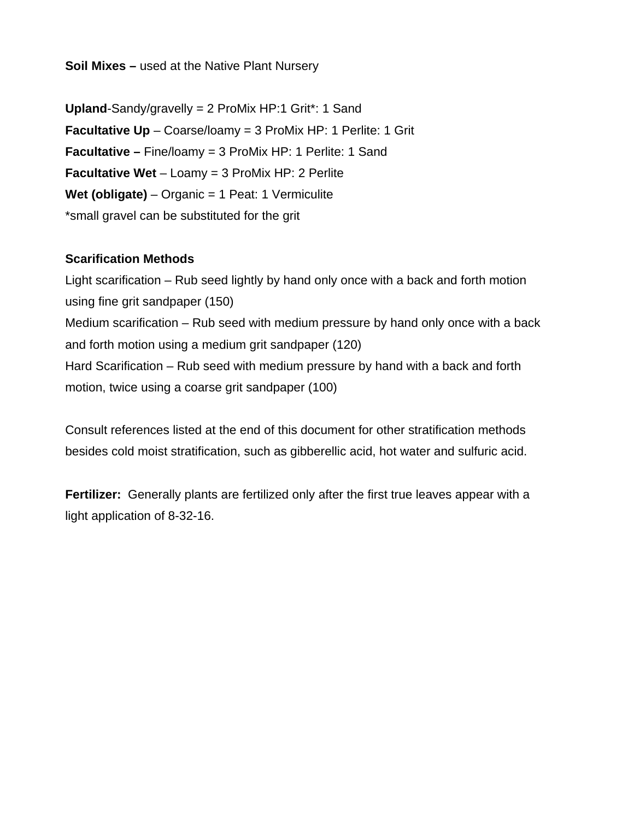**Soil Mixes –** used at the Native Plant Nursery

**Upland**-Sandy/gravelly = 2 ProMix HP:1 Grit\*: 1 Sand **Facultative Up** – Coarse/loamy = 3 ProMix HP: 1 Perlite: 1 Grit **Facultative –** Fine/loamy = 3 ProMix HP: 1 Perlite: 1 Sand **Facultative Wet** – Loamy = 3 ProMix HP: 2 Perlite **Wet (obligate)** – Organic = 1 Peat: 1 Vermiculite \*small gravel can be substituted for the grit

### **Scarification Methods**

Light scarification – Rub seed lightly by hand only once with a back and forth motion using fine grit sandpaper (150) Medium scarification – Rub seed with medium pressure by hand only once with a back and forth motion using a medium grit sandpaper (120) Hard Scarification – Rub seed with medium pressure by hand with a back and forth motion, twice using a coarse grit sandpaper (100)

Consult references listed at the end of this document for other stratification methods besides cold moist stratification, such as gibberellic acid, hot water and sulfuric acid.

**Fertilizer:** Generally plants are fertilized only after the first true leaves appear with a light application of 8-32-16.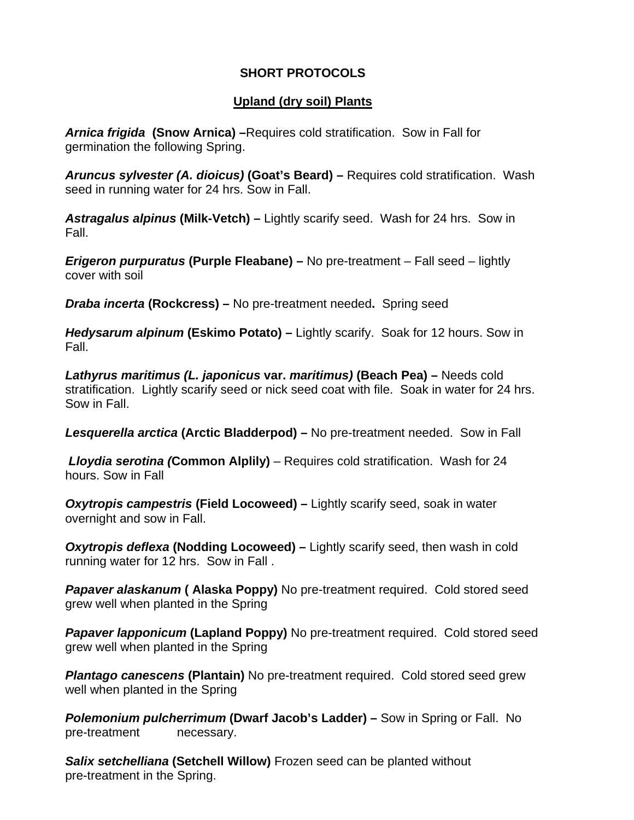## **SHORT PROTOCOLS**

## **Upland (dry soil) Plants**

*Arnica frigida* **(Snow Arnica) –**Requires cold stratification. Sow in Fall for germination the following Spring.

*Aruncus sylvester (A. dioicus)* **(Goat's Beard) –** Requires cold stratification. Wash seed in running water for 24 hrs. Sow in Fall.

*Astragalus alpinus* **(Milk-Vetch) –** Lightly scarify seed. Wash for 24 hrs. Sow in Fall.

*Erigeron purpuratus* **(Purple Fleabane) –** No pre-treatment – Fall seed – lightly cover with soil

*Draba incerta* **(Rockcress) –** No pre-treatment needed**.** Spring seed

*Hedysarum alpinum* **(Eskimo Potato) –** Lightly scarify. Soak for 12 hours. Sow in Fall.

*Lathyrus maritimus (L. japonicus* **var.** *maritimus)* **(Beach Pea) –** Needs cold stratification. Lightly scarify seed or nick seed coat with file. Soak in water for 24 hrs. Sow in Fall.

*Lesquerella arctica* **(Arctic Bladderpod) –** No pre-treatment needed. Sow in Fall

 *Lloydia serotina (***Common Alplily)** – Requires cold stratification. Wash for 24 hours. Sow in Fall

*Oxytropis campestris* **(Field Locoweed) –** Lightly scarify seed, soak in water overnight and sow in Fall.

*Oxytropis deflexa* **(Nodding Locoweed) –** Lightly scarify seed, then wash in cold running water for 12 hrs. Sow in Fall .

*Papaver alaskanum* **( Alaska Poppy)** No pre-treatment required. Cold stored seed grew well when planted in the Spring

*Papaver lapponicum* (Lapland Poppy) No pre-treatment required. Cold stored seed grew well when planted in the Spring

**Plantago canescens (Plantain)** No pre-treatment required. Cold stored seed grew well when planted in the Spring

*Polemonium pulcherrimum (Dwarf Jacob's Ladder) – Sow in Spring or Fall. No* pre-treatment necessary.

*Salix setchelliana* **(Setchell Willow)** Frozen seed can be planted without pre-treatment in the Spring.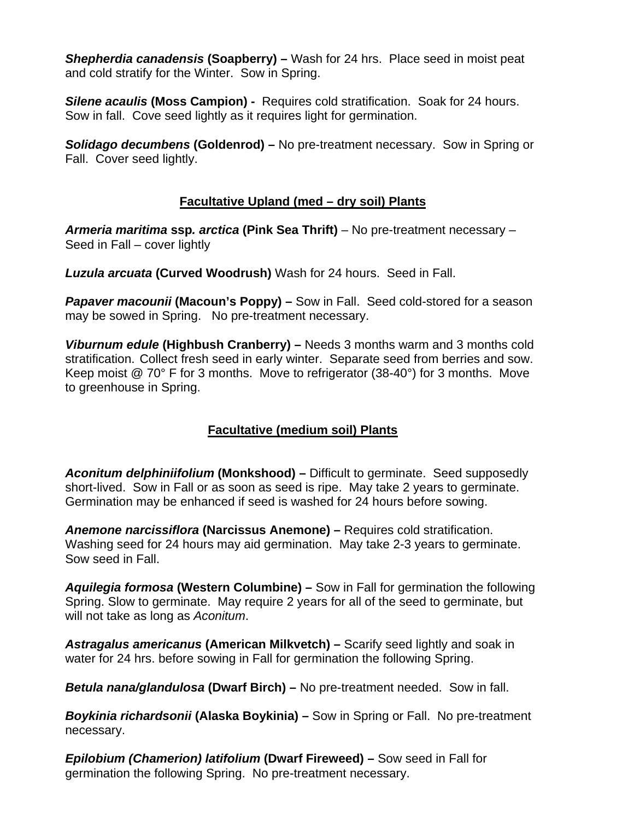*Shepherdia canadensis* **(Soapberry) –** Wash for 24 hrs. Place seed in moist peat and cold stratify for the Winter. Sow in Spring.

*Silene acaulis* **(Moss Campion) -** Requires cold stratification. Soak for 24 hours. Sow in fall. Cove seed lightly as it requires light for germination.

*Solidago decumbens* **(Goldenrod) –** No pre-treatment necessary.Sow in Spring or Fall. Cover seed lightly.

## **Facultative Upland (med – dry soil) Plants**

*Armeria maritima* **ssp***. arctica* **(Pink Sea Thrift)** – No pre-treatment necessary – Seed in Fall – cover lightly

*Luzula arcuata* **(Curved Woodrush)** Wash for 24 hours. Seed in Fall.

**Papaver macounii (Macoun's Poppy) –** Sow in Fall. Seed cold-stored for a season may be sowed in Spring. No pre-treatment necessary.

*Viburnum edule* **(Highbush Cranberry) –** Needs 3 months warm and 3 months cold stratification. Collect fresh seed in early winter. Separate seed from berries and sow. Keep moist @ 70° F for 3 months. Move to refrigerator (38-40°) for 3 months. Move to greenhouse in Spring.

# **Facultative (medium soil) Plants**

*Aconitum delphiniifolium* **(Monkshood) –** Difficult to germinate. Seed supposedly short-lived. Sow in Fall or as soon as seed is ripe. May take 2 years to germinate. Germination may be enhanced if seed is washed for 24 hours before sowing.

*Anemone narcissiflora* **(Narcissus Anemone) –** Requires cold stratification. Washing seed for 24 hours may aid germination. May take 2-3 years to germinate. Sow seed in Fall.

*Aquilegia formosa* **(Western Columbine) –** Sow in Fall for germination the following Spring. Slow to germinate. May require 2 years for all of the seed to germinate, but will not take as long as *Aconitum*.

*Astragalus americanus* **(American Milkvetch) –** Scarify seed lightly and soak in water for 24 hrs. before sowing in Fall for germination the following Spring.

*Betula nana/glandulosa* **(Dwarf Birch) –** No pre-treatment needed. Sow in fall.

*Boykinia richardsonii* **(Alaska Boykinia) –** Sow in Spring or Fall. No pre-treatment necessary.

*Epilobium (Chamerion) latifolium* **(Dwarf Fireweed) –** Sow seed in Fall for germination the following Spring. No pre-treatment necessary.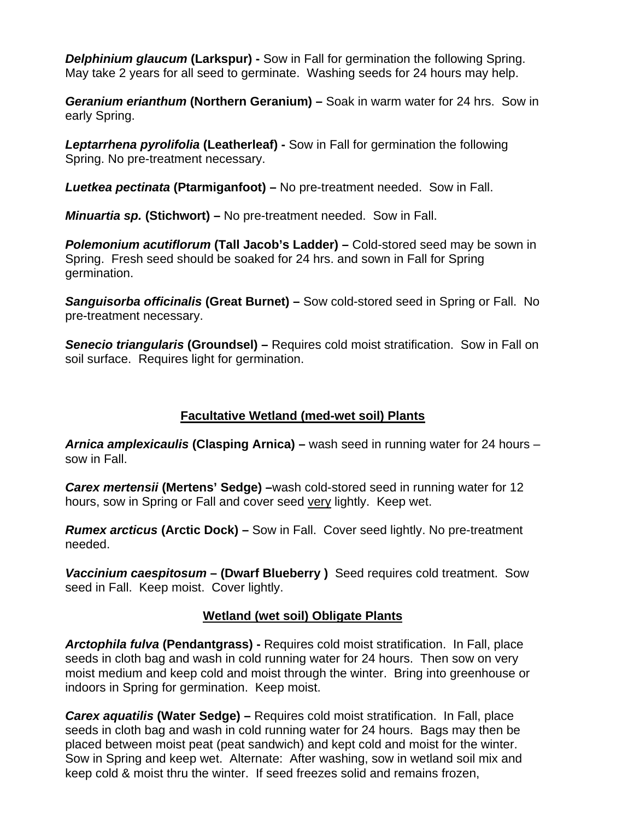*Delphinium glaucum (Larkspur) - Sow in Fall for germination the following Spring.* May take 2 years for all seed to germinate.Washing seeds for 24 hours may help.

*Geranium erianthum* **(Northern Geranium) –** Soak in warm water for 24 hrs. Sow in early Spring.

*Leptarrhena pyrolifolia* **(Leatherleaf) -** Sow in Fall for germination the following Spring. No pre-treatment necessary.

*Luetkea pectinata* **(Ptarmiganfoot) –** No pre-treatment needed. Sow in Fall.

*Minuartia sp.* **(Stichwort) –** No pre-treatment needed. Sow in Fall.

*Polemonium acutiflorum* **(Tall Jacob's Ladder) –** Cold-stored seed may be sown in Spring.Fresh seed should be soaked for 24 hrs. and sown in Fall for Spring germination.

*Sanguisorba officinalis* **(Great Burnet) –** Sow cold-stored seed in Spring or Fall. No pre-treatment necessary.

*Senecio triangularis* **(Groundsel) –** Requires cold moist stratification. Sow in Fall on soil surface. Requires light for germination.

## **Facultative Wetland (med-wet soil) Plants**

*Arnica amplexicaulis* **(Clasping Arnica) –** wash seed in running water for 24 hours – sow in Fall.

*Carex mertensii* **(Mertens' Sedge) –**wash cold-stored seed in running water for 12 hours, sow in Spring or Fall and cover seed very lightly. Keep wet.

*Rumex arcticus* **(Arctic Dock) –** Sow in Fall. Cover seed lightly. No pre-treatment needed.

*Vaccinium caespitosum* **– (Dwarf Blueberry )** Seed requires cold treatment. Sow seed in Fall. Keep moist. Cover lightly.

## **Wetland (wet soil) Obligate Plants**

*Arctophila fulva* **(Pendantgrass) -** Requires cold moist stratification. In Fall, place seeds in cloth bag and wash in cold running water for 24 hours. Then sow on very moist medium and keep cold and moist through the winter. Bring into greenhouse or indoors in Spring for germination. Keep moist.

*Carex aquatilis* **(Water Sedge) –** Requires cold moist stratification. In Fall, place seeds in cloth bag and wash in cold running water for 24 hours. Bags may then be placed between moist peat (peat sandwich) and kept cold and moist for the winter. Sow in Spring and keep wet. Alternate: After washing, sow in wetland soil mix and keep cold & moist thru the winter. If seed freezes solid and remains frozen,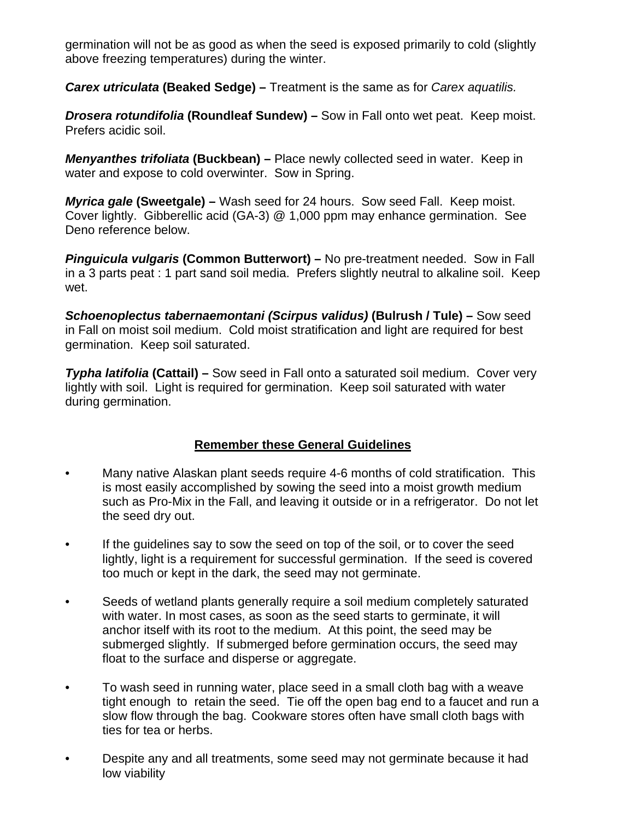germination will not be as good as when the seed is exposed primarily to cold (slightly above freezing temperatures) during the winter.

*Carex utriculata* **(Beaked Sedge) –** Treatment is the same as for *Carex aquatilis.*

*Drosera rotundifolia* **(Roundleaf Sundew) –** Sow in Fall onto wet peat. Keep moist. Prefers acidic soil.

*Menyanthes trifoliata* **(Buckbean) –** Place newly collected seed in water. Keep in water and expose to cold overwinter. Sow in Spring.

*Myrica gale* **(Sweetgale) –** Wash seed for 24 hours. Sow seed Fall. Keep moist. Cover lightly. Gibberellic acid (GA-3) @ 1,000 ppm may enhance germination. See Deno reference below.

*Pinguicula vulgaris* **(Common Butterwort) –** No pre-treatment needed. Sow in Fall in a 3 parts peat : 1 part sand soil media. Prefers slightly neutral to alkaline soil. Keep wet.

*Schoenoplectus tabernaemontani (Scirpus validus)* **(Bulrush / Tule) –** Sow seed in Fall on moist soil medium. Cold moist stratification and light are required for best germination. Keep soil saturated.

*Typha latifolia* **(Cattail) –** Sow seed in Fall onto a saturated soil medium. Cover very lightly with soil. Light is required for germination. Keep soil saturated with water during germination.

## **Remember these General Guidelines**

- Many native Alaskan plant seeds require 4-6 months of cold stratification. This is most easily accomplished by sowing the seed into a moist growth medium such as Pro-Mix in the Fall, and leaving it outside or in a refrigerator. Do not let the seed dry out.
- If the guidelines say to sow the seed on top of the soil, or to cover the seed lightly, light is a requirement for successful germination. If the seed is covered too much or kept in the dark, the seed may not germinate.
- Seeds of wetland plants generally require a soil medium completely saturated with water. In most cases, as soon as the seed starts to germinate, it will anchor itself with its root to the medium. At this point, the seed may be submerged slightly. If submerged before germination occurs, the seed may float to the surface and disperse or aggregate.
- To wash seed in running water, place seed in a small cloth bag with a weave tight enough to retain the seed. Tie off the open bag end to a faucet and run a slow flow through the bag. Cookware stores often have small cloth bags with ties for tea or herbs.
- Despite any and all treatments, some seed may not germinate because it had low viability